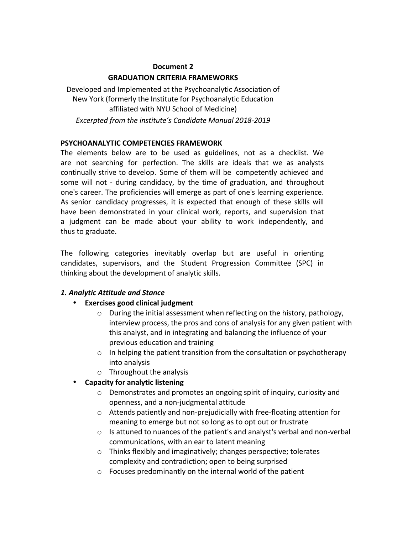#### **Document 2 GRADUATION CRITERIA FRAMEWORKS**

Developed and Implemented at the Psychoanalytic Association of New York (formerly the Institute for Psychoanalytic Education affiliated with NYU School of Medicine) Excerpted from the institute's Candidate Manual 2018-2019

## **PSYCHOANALYTIC COMPETENCIES FRAMEWORK**

The elements below are to be used as guidelines, not as a checklist. We are not searching for perfection. The skills are ideals that we as analysts continually strive to develop. Some of them will be competently achieved and some will not - during candidacy, by the time of graduation, and throughout one's career. The proficiencies will emerge as part of one's learning experience. As senior candidacy progresses, it is expected that enough of these skills will have been demonstrated in your clinical work, reports, and supervision that a judgment can be made about your ability to work independently, and thus to graduate.

The following categories inevitably overlap but are useful in orienting candidates, supervisors, and the Student Progression Committee (SPC) in thinking about the development of analytic skills.

# *1. Analytic Attitude and Stance*

- **Exercises good clinical judgment**
	- $\circ$  During the initial assessment when reflecting on the history, pathology, interview process, the pros and cons of analysis for any given patient with this analyst, and in integrating and balancing the influence of your previous education and training
	- $\circ$  In helping the patient transition from the consultation or psychotherapy into analysis
	- $\circ$  Throughout the analysis
- **Capacity for analytic listening**
	- $\circ$  Demonstrates and promotes an ongoing spirit of inquiry, curiosity and openness, and a non-judgmental attitude
	- $\circ$  Attends patiently and non-prejudicially with free-floating attention for meaning to emerge but not so long as to opt out or frustrate
	- $\circ$  Is attuned to nuances of the patient's and analyst's verbal and non-verbal communications, with an ear to latent meaning
	- $\circ$  Thinks flexibly and imaginatively; changes perspective; tolerates complexity and contradiction; open to being surprised
	- $\circ$  Focuses predominantly on the internal world of the patient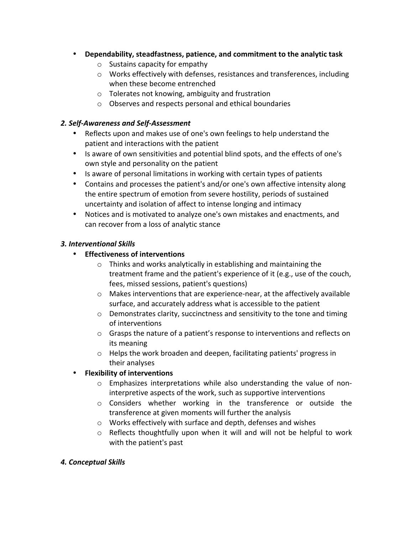- Dependability, steadfastness, patience, and commitment to the analytic task
	- $\circ$  Sustains capacity for empathy
	- $\circ$  Works effectively with defenses, resistances and transferences, including when these become entrenched
	- $\circ$  Tolerates not knowing, ambiguity and frustration
	- $\circ$  Observes and respects personal and ethical boundaries

### *2. Self-Awareness and Self-Assessment*

- Reflects upon and makes use of one's own feelings to help understand the patient and interactions with the patient
- Is aware of own sensitivities and potential blind spots, and the effects of one's own style and personality on the patient
- Is aware of personal limitations in working with certain types of patients
- Contains and processes the patient's and/or one's own affective intensity along the entire spectrum of emotion from severe hostility, periods of sustained uncertainty and isolation of affect to intense longing and intimacy
- Notices and is motivated to analyze one's own mistakes and enactments, and can recover from a loss of analytic stance

### *3. Interventional Skills*

- **Effectiveness of interventions**
	- $\circ$  Thinks and works analytically in establishing and maintaining the treatment frame and the patient's experience of it (e.g., use of the couch, fees, missed sessions, patient's questions)
	- $\circ$  Makes interventions that are experience-near, at the affectively available surface, and accurately address what is accessible to the patient
	- $\circ$  Demonstrates clarity, succinctness and sensitivity to the tone and timing of interventions
	- $\circ$  Grasps the nature of a patient's response to interventions and reflects on its meaning
	- $\circ$  Helps the work broaden and deepen, facilitating patients' progress in their analyses

# **•** Flexibility of interventions

- $\circ$  Emphasizes interpretations while also understanding the value of noninterpretive aspects of the work, such as supportive interventions
- $\circ$  Considers whether working in the transference or outside the transference at given moments will further the analysis
- $\circ$  Works effectively with surface and depth, defenses and wishes
- $\circ$  Reflects thoughtfully upon when it will and will not be helpful to work with the patient's past

### *4. Conceptual Skills*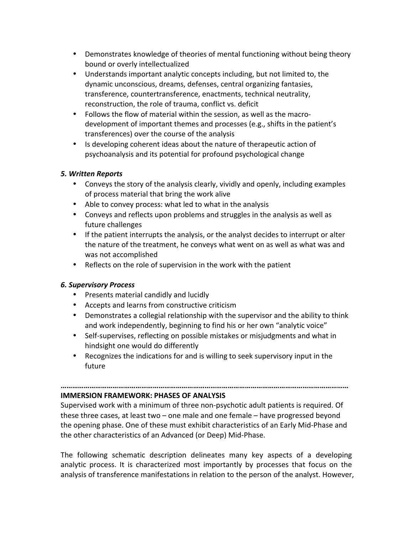- Demonstrates knowledge of theories of mental functioning without being theory bound or overly intellectualized
- Understands important analytic concepts including, but not limited to, the dynamic unconscious, dreams, defenses, central organizing fantasies, transference, countertransference, enactments, technical neutrality, reconstruction, the role of trauma, conflict vs. deficit
- Follows the flow of material within the session, as well as the macrodevelopment of important themes and processes (e.g., shifts in the patient's transferences) over the course of the analysis
- Is developing coherent ideas about the nature of therapeutic action of psychoanalysis and its potential for profound psychological change

### *5. Written Reports*

- Conveys the story of the analysis clearly, vividly and openly, including examples of process material that bring the work alive
- Able to convey process: what led to what in the analysis
- Conveys and reflects upon problems and struggles in the analysis as well as future challenges
- If the patient interrupts the analysis, or the analyst decides to interrupt or alter the nature of the treatment, he conveys what went on as well as what was and was not accomplished
- Reflects on the role of supervision in the work with the patient

### *6. Supervisory Process*

- Presents material candidly and lucidly
- Accepts and learns from constructive criticism
- Demonstrates a collegial relationship with the supervisor and the ability to think and work independently, beginning to find his or her own "analytic voice"
- Self-supervises, reflecting on possible mistakes or misjudgments and what in hindsight one would do differently
- Recognizes the indications for and is willing to seek supervisory input in the future

**……………………………………………………………………………………………………………………………………**

#### **IMMERSION FRAMEWORK: PHASES OF ANALYSIS**

Supervised work with a minimum of three non-psychotic adult patients is required. Of these three cases, at least two  $-$  one male and one female  $-$  have progressed beyond the opening phase. One of these must exhibit characteristics of an Early Mid-Phase and the other characteristics of an Advanced (or Deep) Mid-Phase.

The following schematic description delineates many key aspects of a developing analytic process. It is characterized most importantly by processes that focus on the analysis of transference manifestations in relation to the person of the analyst. However,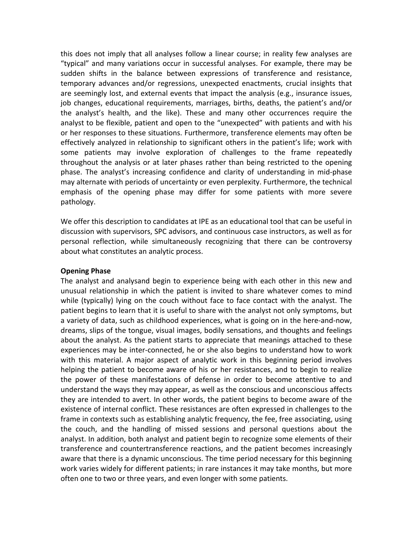this does not imply that all analyses follow a linear course; in reality few analyses are "typical" and many variations occur in successful analyses. For example, there may be sudden shifts in the balance between expressions of transference and resistance, temporary advances and/or regressions, unexpected enactments, crucial insights that are seemingly lost, and external events that impact the analysis (e.g., insurance issues, job changes, educational requirements, marriages, births, deaths, the patient's and/or the analyst's health, and the like). These and many other occurrences require the analyst to be flexible, patient and open to the "unexpected" with patients and with his or her responses to these situations. Furthermore, transference elements may often be effectively analyzed in relationship to significant others in the patient's life; work with some patients may involve exploration of challenges to the frame repeatedly throughout the analysis or at later phases rather than being restricted to the opening phase. The analyst's increasing confidence and clarity of understanding in mid-phase may alternate with periods of uncertainty or even perplexity. Furthermore, the technical emphasis of the opening phase may differ for some patients with more severe pathology.

We offer this description to candidates at IPE as an educational tool that can be useful in discussion with supervisors, SPC advisors, and continuous case instructors, as well as for personal reflection, while simultaneously recognizing that there can be controversy about what constitutes an analytic process.

#### **Opening Phase**

The analyst and analysand begin to experience being with each other in this new and unusual relationship in which the patient is invited to share whatever comes to mind while (typically) lying on the couch without face to face contact with the analyst. The patient begins to learn that it is useful to share with the analyst not only symptoms, but a variety of data, such as childhood experiences, what is going on in the here-and-now, dreams, slips of the tongue, visual images, bodily sensations, and thoughts and feelings about the analyst. As the patient starts to appreciate that meanings attached to these experiences may be inter-connected, he or she also begins to understand how to work with this material. A major aspect of analytic work in this beginning period involves helping the patient to become aware of his or her resistances, and to begin to realize the power of these manifestations of defense in order to become attentive to and understand the ways they may appear, as well as the conscious and unconscious affects they are intended to avert. In other words, the patient begins to become aware of the existence of internal conflict. These resistances are often expressed in challenges to the frame in contexts such as establishing analytic frequency, the fee, free associating, using the couch, and the handling of missed sessions and personal questions about the analyst. In addition, both analyst and patient begin to recognize some elements of their transference and countertransference reactions, and the patient becomes increasingly aware that there is a dynamic unconscious. The time period necessary for this beginning work varies widely for different patients; in rare instances it may take months, but more often one to two or three years, and even longer with some patients.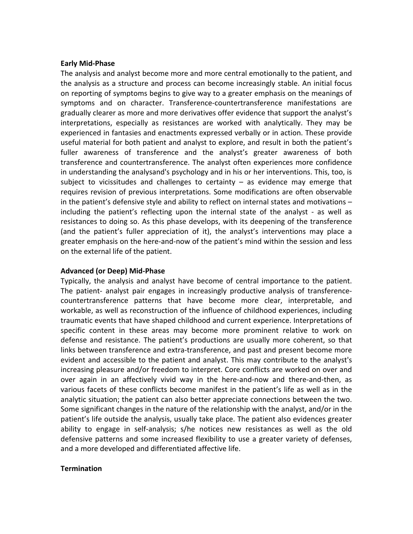#### **Early Mid-Phase**

The analysis and analyst become more and more central emotionally to the patient, and the analysis as a structure and process can become increasingly stable. An initial focus on reporting of symptoms begins to give way to a greater emphasis on the meanings of symptoms and on character. Transference-countertransference manifestations are gradually clearer as more and more derivatives offer evidence that support the analyst's interpretations, especially as resistances are worked with analytically. They may be experienced in fantasies and enactments expressed verbally or in action. These provide useful material for both patient and analyst to explore, and result in both the patient's fuller awareness of transference and the analyst's greater awareness of both transference and countertransference. The analyst often experiences more confidence in understanding the analysand's psychology and in his or her interventions. This, too, is subject to vicissitudes and challenges to certainty  $-$  as evidence may emerge that requires revision of previous interpretations. Some modifications are often observable in the patient's defensive style and ability to reflect on internal states and motivations  $$ including the patient's reflecting upon the internal state of the analyst - as well as resistances to doing so. As this phase develops, with its deepening of the transference (and the patient's fuller appreciation of it), the analyst's interventions may place a greater emphasis on the here-and-now of the patient's mind within the session and less on the external life of the patient.

#### **Advanced (or Deep) Mid-Phase**

Typically, the analysis and analyst have become of central importance to the patient. The patient- analyst pair engages in increasingly productive analysis of transferencecountertransference patterns that have become more clear, interpretable, and workable, as well as reconstruction of the influence of childhood experiences, including traumatic events that have shaped childhood and current experience. Interpretations of specific content in these areas may become more prominent relative to work on defense and resistance. The patient's productions are usually more coherent, so that links between transference and extra-transference, and past and present become more evident and accessible to the patient and analyst. This may contribute to the analyst's increasing pleasure and/or freedom to interpret. Core conflicts are worked on over and over again in an affectively vivid way in the here-and-now and there-and-then, as various facets of these conflicts become manifest in the patient's life as well as in the analytic situation; the patient can also better appreciate connections between the two. Some significant changes in the nature of the relationship with the analyst, and/or in the patient's life outside the analysis, usually take place. The patient also evidences greater ability to engage in self-analysis; s/he notices new resistances as well as the old defensive patterns and some increased flexibility to use a greater variety of defenses, and a more developed and differentiated affective life.

#### **Termination**